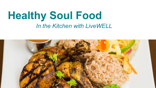# **Healthy Soul Food** *In the Kitchen with LiveWELL*

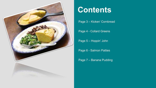

## **Contents**

Page 3 – Kicken' Cornbread

Page 4 - Collard Greens

Page 5 – Hoppin' John

Page 6 - Salmon Patties

Page 7 – Banana Pudding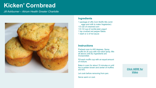### **Kicken' Cornbread**

*Jill Ashburner – Atrium Health Greater Charlotte*



#### **Ingredients**

1 package of Jiffy Corn Muffin Mix (omit eggs and milk to make Vegetarian) 1/3 can of creamed corn 1/3-1/2 cup of nonfat plain yogurt 1 tsp crushed red pepper flakes 1 dash or 2 of hot sauce

#### **Instructions**

Preheat oven to 400 degrees. Spray muffin tin (6 cup) with non-stick spray. Mix all above until dry ingredients are incorporated.

Fill each muffin cup with an equal amount of mixture.

Bake in oven for about 15 minutes or until top is golden brown and center of muffins are firm.

Let cook before removing from pan.

Serve warm or cool.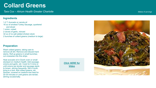### **Collard Greens**

*Tara Cox – Atrium Health Greater Charlotte Makes 8 servings*

#### **Ingredients**

1-2 T. Avocado or canola oil 16 oz of smoked Turkey Sausage, quartered and sliced 1 onion, cubed 2 cloves of garlic, minced 32 oz of no salt added chicken stock 2 bunches of collard greens (medium to large )

#### **Preparation**

Wash collard greens, taking care to remove all dirt. Remove and discard hard stems. Roll up greens in small bunches; cut crosswise into this strips

Heat avocado oil in Dutch oven or small stockpot on medium health. Add sausage, onions and garlic, stir. Cook for 5 mins or until onions are tender and sausage starts to brown, stirring frequently. Still in broth, bring to a boil. Add collard greens; stir. Simmer, covered on medium -low heat for 20 -30 minutes or until greens are tender, stirring occasionally.

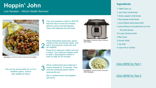### **Hoppin' John**

*Lisa Seneker – Atrium Health Navicent*



*[This Photo](https://www.flickr.com/photos/jeffreyww/38577770295/) by Unknown Author is licensed under [CC BY](https://creativecommons.org/licenses/by/3.0/)*

*This can be served with rice or, for a healthier option, Quinoa (see additional video).* 

1 Turn your pressure cooker to SAUTE. Add the olive oil and once heated, add the onions and bell peppers. Cook until softened and set aside.

> Place dried black-eyed peas, bacon, chicken broth, bay leaves, garlic, and salt in the pressure cooker pot and stir together.

2

Place lid on pressure cooker and lock in place. Turn pressure release valve to seal it. Set pressure cooker to cook on high for 20 minutes.

3 When cooking time has ended let it natural release for 15 minutes. Then vent the remaining steam before opening the pot.

> Stir in cooked onions and peppers and serve.



*[This Photo](https://www.wholelifechallenge.com/5-everyday-kitchen-essentials-for-the-amateur-chef/) by Unknown Author is licensed under [CC BY](https://creativecommons.org/licenses/by/3.0/)*



*[This Photo](https://aquisecocina.blogspot.com/2018/07/quinoa-como-se-cocina.html) by Unknown Author is licensed under [CC BY-NC](https://creativecommons.org/licenses/by-nc/3.0/)*

#### **Ingredients**

- 1 TBSP Olive oil
- 1 cup Onion small diced
- 1 Green pepper small diced
- 1 Red pepper small diced
- 1 pound Black eyed peas dried
- ½ pound Bacon uncooked and cut into

bit-sixed pieces

- 5.5 cups Chicken broth
- 2 Bay laves
- 2 cloves Garlic
- ½ tsp Salt
- 4 cups rice or quinoa

#### *[Click HERE for Part 1](https://web.microsoftstream.com/video/e803de14-4b17-4fc0-b749-0c1b9b369850)*

#### *[Click HERE for Part 2](https://web.microsoftstream.com/video/d0c1d781-fc88-4a7e-8ed4-1017484e4b48)*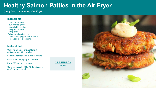### **Healthy Salmon Patties in the Air Fryer**

*Cindy Vice – Atrium Health Floyd* 

#### **Ingredients**

- 1 12oz can of salmon 1 cup cooked quinoa 1 egg, slightly beaten 1 Tbsp lemon juice 1 Tbsp of dill Following spices to taste:
	- Garlic salt, pepper, cumin, onion powder, creole seasoning

#### **Instructions**

Combine all ingredients until moist, refrigerate for 15-20 minutes.

Form into patties using ½ cup of mixture.

Place in air fryer, spray with olive oil.

Fry at 390 for 10-12 minutes.

Can also bake at 400 for 10-12 minutes or pan fry in avocado oil.